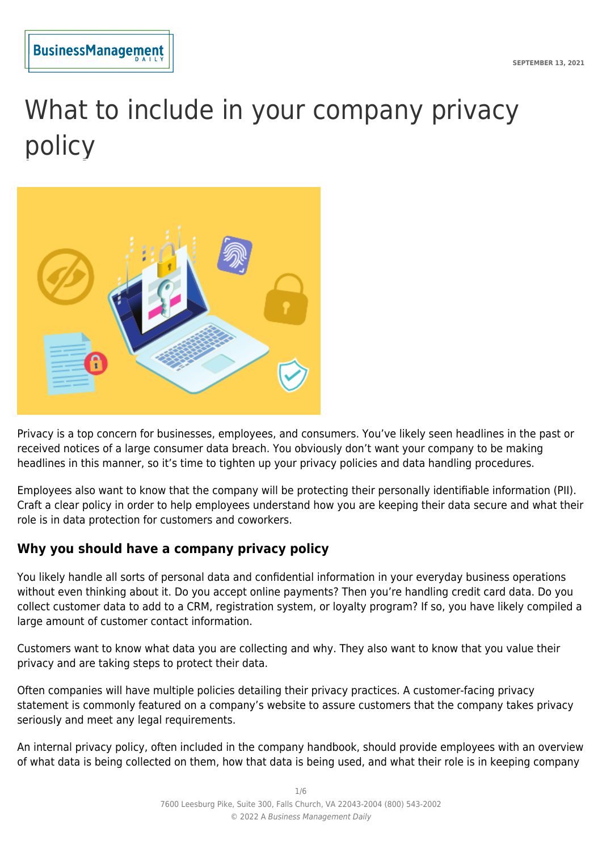

# What to include in your company privacy policy



Privacy is a top concern for businesses, employees, and consumers. You've likely seen headlines in the past or received notices of a large consumer data breach. You obviously don't want your company to be making headlines in this manner, so it's time to tighten up your privacy policies and data handling procedures.

Employees also want to know that the company will be protecting their personally identifiable information (PII). Craft a clear policy in order to help employees understand how you are keeping their data secure and what their role is in data protection for customers and coworkers.

# **Why you should have a company privacy policy**

You likely handle all sorts of personal data and confidential information in your everyday business operations without even thinking about it. Do you accept online payments? Then you're handling credit card data. Do you collect customer data to add to a CRM, registration system, or loyalty program? If so, you have likely compiled a large amount of customer contact information.

Customers want to know what data you are collecting and why. They also want to know that you value their privacy and are taking steps to protect their data.

Often companies will have multiple policies detailing their privacy practices. A customer-facing privacy statement is commonly featured on a company's website to assure customers that the company takes privacy seriously and meet any legal requirements.

An internal privacy policy, often included in the company handbook, should provide employees with an overview of what data is being collected on them, how that data is being used, and what their role is in keeping company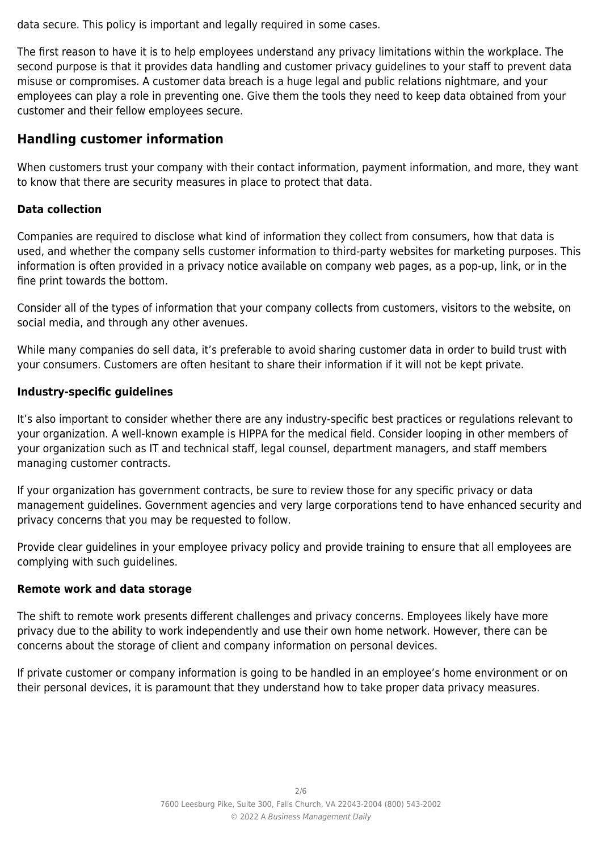data secure. This policy is important and legally required in some cases.

The first reason to have it is to help employees understand any privacy limitations within the workplace. The second purpose is that it provides data handling and customer privacy guidelines to your staff to prevent data misuse or compromises. A customer data breach is a huge legal and public relations nightmare, and your employees can play a role in preventing one. Give them the tools they need to keep data obtained from your customer and their fellow employees secure.

# **Handling customer information**

When customers trust your company with their contact information, payment information, and more, they want to know that there are security measures in place to protect that data.

# **Data collection**

Companies are required to disclose what kind of information they collect from consumers, how that data is used, and whether the company sells customer information to third-party websites for marketing purposes. This information is often provided in a privacy notice available on company web pages, as a pop-up, link, or in the fine print towards the bottom.

Consider all of the types of information that your company collects from customers, visitors to the website, on social media, and through any other avenues.

While many companies do sell data, it's preferable to avoid sharing customer data in order to build trust with your consumers. Customers are often hesitant to share their information if it will not be kept private.

# **Industry-specific guidelines**

It's also important to consider whether there are any industry-specific best practices or regulations relevant to your organization. A well-known example is HIPPA for the medical field. Consider looping in other members of your organization such as IT and technical staff, legal counsel, department managers, and staff members managing customer contracts.

If your organization has government contracts, be sure to review those for any specific privacy or data management guidelines. Government agencies and very large corporations tend to have enhanced security and privacy concerns that you may be requested to follow.

Provide clear guidelines in your employee privacy policy and provide training to ensure that all employees are complying with such guidelines.

# **Remote work and data storage**

The shift to remote work presents different challenges and privacy concerns. Employees likely have more privacy due to the ability to work independently and use their own home network. However, there can be concerns about the storage of client and company information on personal devices.

If private customer or company information is going to be handled in an employee's home environment or on their personal devices, it is paramount that they understand how to take proper data privacy measures.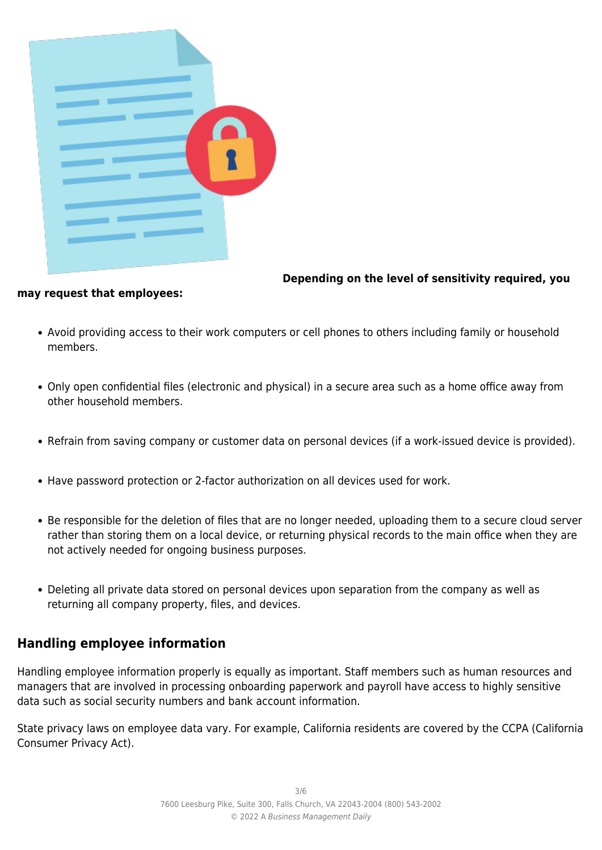| <b>STATISTICS</b>                                                                                                                                           |
|-------------------------------------------------------------------------------------------------------------------------------------------------------------|
|                                                                                                                                                             |
| <b>STATISTICS</b>                                                                                                                                           |
| <u>e a ser a componente de la componente de la componente de la componente de la componente de la componente de la</u><br>a sa                              |
|                                                                                                                                                             |
| <u>e a ser a componenta de la componenta de la componenta de la componenta de la componenta de la componenta de la</u><br><b>Contract Construction</b><br>г |
|                                                                                                                                                             |

**Depending on the level of sensitivity required, you**

#### **may request that employees:**

- Avoid providing access to their work computers or cell phones to others including family or household members.
- Only open confidential files (electronic and physical) in a secure area such as a home office away from other household members.
- Refrain from saving company or customer data on personal devices (if a work-issued device is provided).
- Have password protection or 2-factor authorization on all devices used for work.
- Be responsible for the deletion of files that are no longer needed, uploading them to a secure cloud server rather than storing them on a local device, or returning physical records to the main office when they are not actively needed for ongoing business purposes.
- Deleting all private data stored on personal devices upon separation from the company as well as returning all company property, files, and devices.

# **Handling employee information**

Handling employee information properly is equally as important. Staff members such as human resources and managers that are involved in processing onboarding paperwork and payroll have access to highly sensitive data such as social security numbers and bank account information.

State privacy laws on employee data vary. For example, California residents are covered by the CCPA (California Consumer Privacy Act).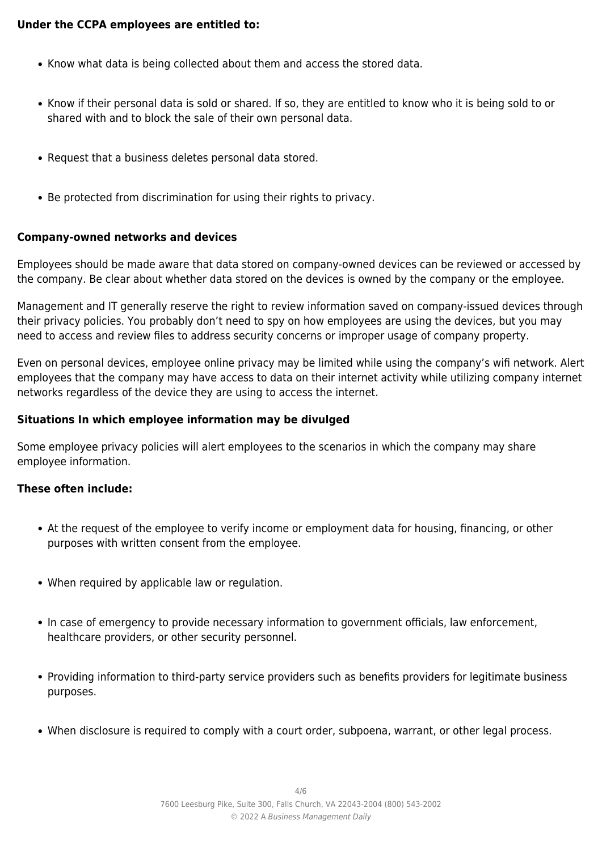#### **Under the CCPA employees are entitled to:**

- Know what data is being collected about them and access the stored data.
- Know if their personal data is sold or shared. If so, they are entitled to know who it is being sold to or shared with and to block the sale of their own personal data.
- Request that a business deletes personal data stored.
- Be protected from discrimination for using their rights to privacy.

#### **Company-owned networks and devices**

Employees should be made aware that data stored on company-owned devices can be reviewed or accessed by the company. Be clear about whether data stored on the devices is owned by the company or the employee.

Management and IT generally reserve the right to review information saved on company-issued devices through their privacy policies. You probably don't need to spy on how employees are using the devices, but you may need to access and review files to address security concerns or improper usage of company property.

Even on personal devices, employee online privacy may be limited while using the company's wifi network. Alert employees that the company may have access to data on their internet activity while utilizing company internet networks regardless of the device they are using to access the internet.

#### **Situations In which employee information may be divulged**

Some employee privacy policies will alert employees to the scenarios in which the company may share employee information.

#### **These often include:**

- At the request of the employee to verify income or employment data for housing, financing, or other purposes with written consent from the employee.
- When required by applicable law or regulation.
- In case of emergency to provide necessary information to government officials, law enforcement, healthcare providers, or other security personnel.
- Providing information to third-party service providers such as benefits providers for legitimate business purposes.
- When disclosure is required to comply with a court order, subpoena, warrant, or other legal process.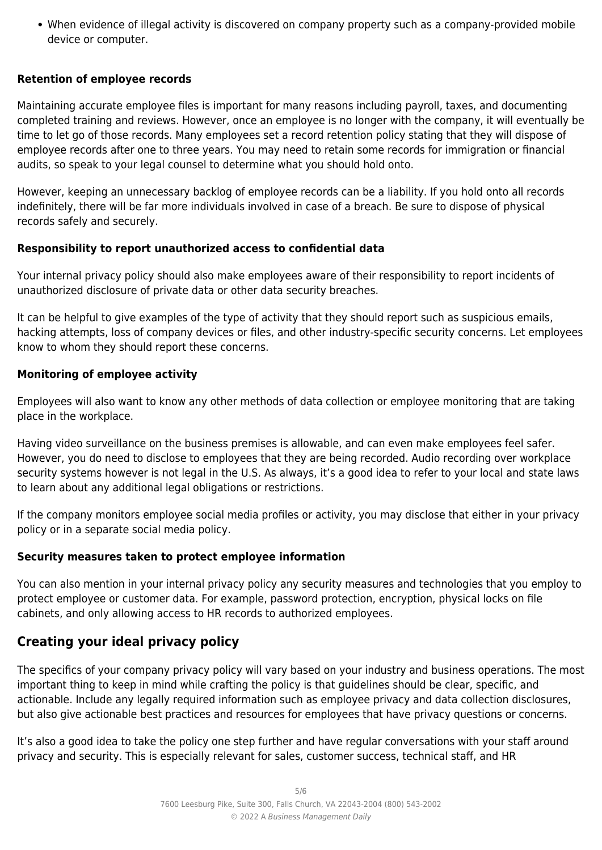When evidence of illegal activity is discovered on company property such as a company-provided mobile device or computer.

# **Retention of employee records**

Maintaining accurate employee files is important for many reasons including payroll, taxes, and documenting completed training and reviews. However, once an employee is no longer with the company, it will eventually be time to let go of those records. Many employees set a record retention policy stating that they will dispose of employee records after one to three years. You may need to retain some records for immigration or financial audits, so speak to your legal counsel to determine what you should hold onto.

However, keeping an unnecessary backlog of employee records can be a liability. If you hold onto all records indefinitely, there will be far more individuals involved in case of a breach. Be sure to dispose of physical records safely and securely.

# **Responsibility to report unauthorized access to confidential data**

Your internal privacy policy should also make employees aware of their responsibility to report incidents of unauthorized disclosure of private data or other data security breaches.

It can be helpful to give examples of the type of activity that they should report such as suspicious emails, hacking attempts, loss of company devices or files, and other industry-specific security concerns. Let employees know to whom they should report these concerns.

# **Monitoring of employee activity**

Employees will also want to know any other methods of data collection or employee monitoring that are taking place in the workplace.

Having video surveillance on the business premises is allowable, and can even make employees feel safer. However, you do need to disclose to employees that they are being recorded. Audio recording over workplace security systems however is not legal in the U.S. As always, it's a good idea to refer to your local and state laws to learn about any additional legal obligations or restrictions.

If the company monitors employee social media profiles or activity, you may disclose that either in your privacy policy or in a separate social media policy.

# **Security measures taken to protect employee information**

You can also mention in your internal privacy policy any security measures and technologies that you employ to protect employee or customer data. For example, password protection, encryption, physical locks on file cabinets, and only allowing access to HR records to authorized employees.

# **Creating your ideal privacy policy**

The specifics of your company privacy policy will vary based on your industry and business operations. The most important thing to keep in mind while crafting the policy is that guidelines should be clear, specific, and actionable. Include any legally required information such as employee privacy and data collection disclosures, but also give actionable best practices and resources for employees that have privacy questions or concerns.

It's also a good idea to take the policy one step further and have regular conversations with your staff around privacy and security. This is especially relevant for sales, customer success, technical staff, and HR